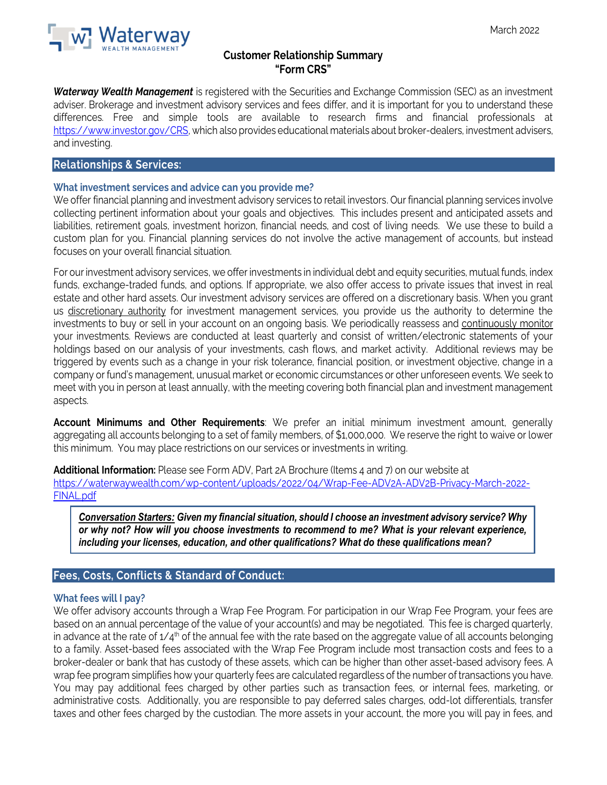

## **Customer Relationship Summary "Form CRS"**

*Waterway Wealth Management* is registered with the Securities and Exchange Commission (SEC) as an investment adviser. Brokerage and investment advisory services and fees differ, and it is important for you to understand these differences. Free and simple tools are available to research firms and financial professionals at [https://www.investor.gov/CRS,](https://www.investor.gov/CRS) which also provides educational materials about broker-dealers, investment advisers, and investing.

### **Relationships & Services:**

#### **What investment services and advice can you provide me?**

We offer financial planning and investment advisory services to retail investors. Our financial planning services involve collecting pertinent information about your goals and objectives. This includes present and anticipated assets and liabilities, retirement goals, investment horizon, financial needs, and cost of living needs. We use these to build a custom plan for you. Financial planning services do not involve the active management of accounts, but instead focuses on your overall financial situation.

For our investment advisory services, we offer investments in individual debt and equity securities, mutual funds, index funds, exchange-traded funds, and options. If appropriate, we also offer access to private issues that invest in real estate and other hard assets. Our investment advisory services are offered on a discretionary basis. When you grant us discretionary authority for investment management services, you provide us the authority to determine the investments to buy or sell in your account on an ongoing basis. We periodically reassess and continuously monitor your investments. Reviews are conducted at least quarterly and consist of written/electronic statements of your holdings based on our analysis of your investments, cash flows, and market activity. Additional reviews may be triggered by events such as a change in your risk tolerance, financial position, or investment objective, change in a company or fund's management, unusual market or economic circumstances or other unforeseen events. We seek to meet with you in person at least annually, with the meeting covering both financial plan and investment management aspects.

**Account Minimums and Other Requirements**: We prefer an initial minimum investment amount, generally aggregating all accounts belonging to a set of family members, of \$1,000,000. We reserve the right to waive or lower this minimum. You may place restrictions on our services or investments in writing.

**Additional Information:** Please see Form ADV, Part 2A Brochure (Items 4 and 7) on our website at https://waterwaywealth.com/wp-content/uploads/2022/04/Wrap-Fee-ADV2A-ADV2B-Privacy-March-2022- FINAL.pdf

*Conversation Starters: Given my financial situation, should I choose an investment advisory service? Why or why not? How will you choose investments to recommend to me? What is your relevant experience, including your licenses, education, and other qualifications? What do these qualifications mean?*

#### **Fees, Costs, Conflicts & Standard of Conduct:**

#### **What fees will I pay?**

We offer advisory accounts through a Wrap Fee Program. For participation in our Wrap Fee Program, your fees are based on an annual percentage of the value of your account(s) and may be negotiated. This fee is charged quarterly, in advance at the rate of  $1/4<sup>th</sup>$  of the annual fee with the rate based on the aggregate value of all accounts belonging to a family. Asset-based fees associated with the Wrap Fee Program include most transaction costs and fees to a broker-dealer or bank that has custody of these assets, which can be higher than other asset-based advisory fees. A wrap fee program simplifies how your quarterly fees are calculated regardless of the number of transactions you have. You may pay additional fees charged by other parties such as transaction fees, or internal fees, marketing, or administrative costs. Additionally, you are responsible to pay deferred sales charges, odd-lot differentials, transfer taxes and other fees charged by the custodian. The more assets in your account, the more you will pay in fees, and